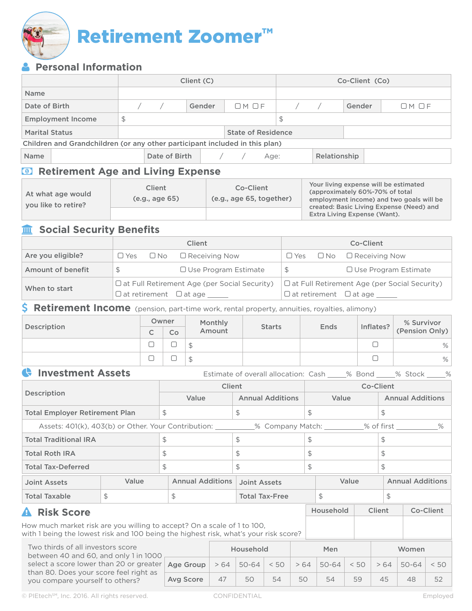

# **Personal Information**

|                                                                             |    |               | Client (C) |                           | Co-Client (Co) |              |        |           |
|-----------------------------------------------------------------------------|----|---------------|------------|---------------------------|----------------|--------------|--------|-----------|
| <b>Name</b>                                                                 |    |               |            |                           |                |              |        |           |
| Date of Birth                                                               |    |               | Gender     | OMOF                      |                |              | Gender | $OM$ $OF$ |
| <b>Employment Income</b>                                                    | \$ |               |            |                           | \$             |              |        |           |
| <b>Marital Status</b>                                                       |    |               |            | <b>State of Residence</b> |                |              |        |           |
| Children and Grandchildren (or any other participant included in this plan) |    |               |            |                           |                |              |        |           |
| <b>Name</b>                                                                 |    | Date of Birth |            | Age:                      |                | Relationship |        |           |

## **<sup><b><sup>0</sup>**</sup> Retirement Age and Living Expense

| At what age would<br>you like to retire? | Client<br>(e.g., age 65) | Co-Client<br>(e.g., age 65, together) | Your living expense will be estimated<br>(approximately 60%-70% of total<br>employment income) and two goals will be<br>created: Basic Living Expense (Need) and |  |
|------------------------------------------|--------------------------|---------------------------------------|------------------------------------------------------------------------------------------------------------------------------------------------------------------|--|
|                                          |                          |                                       | Extra Living Expense (Want).                                                                                                                                     |  |

## **M** Social Security Benefits

|                   | <b>Client</b>                                       |                                                     | Co-Client |  |                                           |  |
|-------------------|-----------------------------------------------------|-----------------------------------------------------|-----------|--|-------------------------------------------|--|
| Are you eligible? | $\Box$ No $\Box$ Receiving Now<br>$\Box$ Yes        |                                                     |           |  | $\Box$ Yes $\Box$ No $\Box$ Receiving Now |  |
| Amount of benefit | S                                                   | $\Box$ Use Program Estimate                         | S         |  | □ Use Program Estimate                    |  |
| When to start     | $\Box$ at Full Retirement Age (per Social Security) | $\Box$ at Full Retirement Age (per Social Security) |           |  |                                           |  |
|                   | $\Box$ at retirement $\Box$ at age $\_\_$           | $\Box$ at retirement $\Box$ at age                  |           |  |                                           |  |

### **S** Retirement Income (pension, part-time work, rental property, annuities, royalties, alimony)

| Description | Owner               |                          | Monthly | <b>Starts</b> | Ends | Inflates? | % Survivor     |
|-------------|---------------------|--------------------------|---------|---------------|------|-----------|----------------|
|             | $\sqrt{2}$<br>◡     | Co                       | Amount  |               |      |           | (Pension Only) |
|             | $\overline{ }$<br>ᅳ | -<br>ٮ                   | \$      |               |      |           | $\%$           |
|             | –<br>─              | $\overline{\phantom{0}}$ | \$      |               |      |           | $\%$           |

**Construent Assets** Estimate of overall allocation: Cash % Bond % Stock %

| Description                           |       | <b>Client</b>                                                                                                  |                         | Co-Client |                         |  |
|---------------------------------------|-------|----------------------------------------------------------------------------------------------------------------|-------------------------|-----------|-------------------------|--|
|                                       |       | Value                                                                                                          | <b>Annual Additions</b> | Value     |                         |  |
| <b>Total Employer Retirement Plan</b> |       | \$                                                                                                             |                         | ⊅         | \$                      |  |
|                                       |       | Assets: 401(k), 403(b) or Other. Your Contribution: ________<br>_% Company Match: ___________% of first ______ |                         |           |                         |  |
| <b>Total Traditional IRA</b>          |       | S                                                                                                              |                         | ⊅         | \$                      |  |
| <b>Total Roth IRA</b>                 |       | \$                                                                                                             |                         | \$        | \$                      |  |
| <b>Total Tax-Deferred</b>             |       | S                                                                                                              |                         | \$        | \$                      |  |
| Joint Assets                          | Value | <b>Annual Additions</b>                                                                                        | Joint Assets            | Value     | <b>Annual Additions</b> |  |
| <b>Total Taxable</b>                  | \$    | Φ                                                                                                              | <b>Total Tax-Free</b>   | \$        | \$                      |  |

# **Risk Score**

How much market risk are you willing to accept? On a scale of 1 to 100, with 1 being the lowest risk and 100 being the highest risk, what's your risk score?

Two thirds of all investors score between 40 and 60, and only 1 in 1000 select a score lower than 20 or greater than 80. Does your score feel right as you compare yourself to others? Household Nen Men Women Age Group  $| > 64$  50-64  $| < 50$   $| > 64$  50-64  $| < 50$   $| > 64$  50-64  $| < 50$ Avg Score | 47 | 50 | 54 | 50 | 54 | 59 | 45 | 48 | 52

Household Client Co-Client